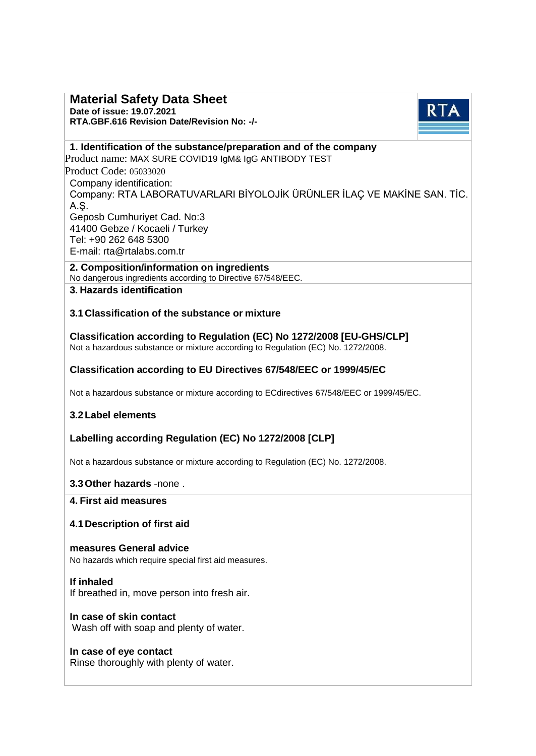# **Material Safety Data Sheet**

**Date of issue: 19.07.2021 RTA.GBF.616 Revision Date/Revision No: -/-**



## **1. Identification of the substance/preparation and of the company**

Product name: MAX SURE COVID19 IgM& IgG ANTIBODY TEST Product Code: 05033020 Company identification: Company: RTA LABORATUVARLARI BİYOLOJİK ÜRÜNLER İLAÇ VE MAKİNE SAN. TİC. A.Ş. Geposb Cumhuriyet Cad. No:3 41400 Gebze / Kocaeli / Turkey Tel: +90 262 648 5300 E-mail: [rta@rtalabs.com.tr](mailto:rta@rtalabs.com.tr)

**2. C[omposition/informatio](http://www.rtalabs.com.tr/)n on ingredients** No dangerous ingredients according to Directive 67/548/EEC.

# **3. Hazards identification**

## **3.1 Classification of the substance or mixture**

**Classification according to Regulation (EC) No 1272/2008 [EU-GHS/CLP]** Not a hazardous substance or mixture according to Regulation (EC) No. 1272/2008.

## **Classification according to EU Directives 67/548/EEC or 1999/45/EC**

Not a hazardous substance or mixture according to ECdirectives 67/548/EEC or 1999/45/EC.

## **3.2Label elements**

## **Labelling according Regulation (EC) No 1272/2008 [CLP]**

Not a hazardous substance or mixture according to Regulation (EC) No. 1272/2008.

## **3.3Other hazards** -none .

#### **4. First aid measures**

## **4.1Description of first aid**

**measures General advice** No hazards which require special first aid measures.

## **If inhaled**

If breathed in, move person into fresh air.

#### **In case of skin contact** Wash off with soap and plenty of water.

## **In case of eye contact**

Rinse thoroughly with plenty of water.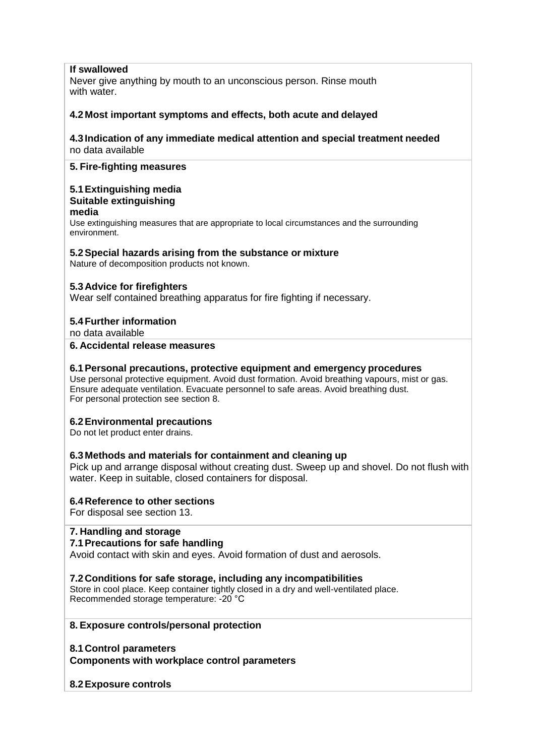## **If swallowed**

Never give anything by mouth to an unconscious person. Rinse mouth with water.

## **4.2 Most important symptoms and effects, both acute and delayed**

### **4.3 Indication of any immediate medical attention and special treatment needed** no data available

## **5. Fire-fighting measures**

#### **5.1Extinguishing media Suitable extinguishing**

### **media**

Use extinguishing measures that are appropriate to local circumstances and the surrounding environment.

#### **5.2Special hazards arising from the substance or mixture**

Nature of decomposition products not known.

### **5.3 Advice for firefighters**

Wear self contained breathing apparatus for fire fighting if necessary.

### **5.4Further information**

no data available

#### **6. Accidental release measures**

## **6.1Personal precautions, protective equipment and emergency procedures**

Use personal protective equipment. Avoid dust formation. Avoid breathing vapours, mist or gas. Ensure adequate ventilation. Evacuate personnel to safe areas. Avoid breathing dust. For personal protection see section 8.

## **6.2Environmental precautions**

Do not let product enter drains.

#### **6.3 Methods and materials for containment and cleaning up**

Pick up and arrange disposal without creating dust. Sweep up and shovel. Do not flush with water. Keep in suitable, closed containers for disposal.

#### **6.4 Reference to other sections**

For disposal see section 13.

#### **7. Handling and storage**

#### **7.1Precautions for safe handling**

Avoid contact with skin and eyes. Avoid formation of dust and aerosols.

#### **7.2 Conditions for safe storage, including any incompatibilities**

Store in cool place. Keep container tightly closed in a dry and well-ventilated place. Recommended storage temperature: -20 °C

#### **8. Exposure controls/personal protection**

**8.1 Control parameters Components with workplace control parameters**

#### **8.2Exposure controls**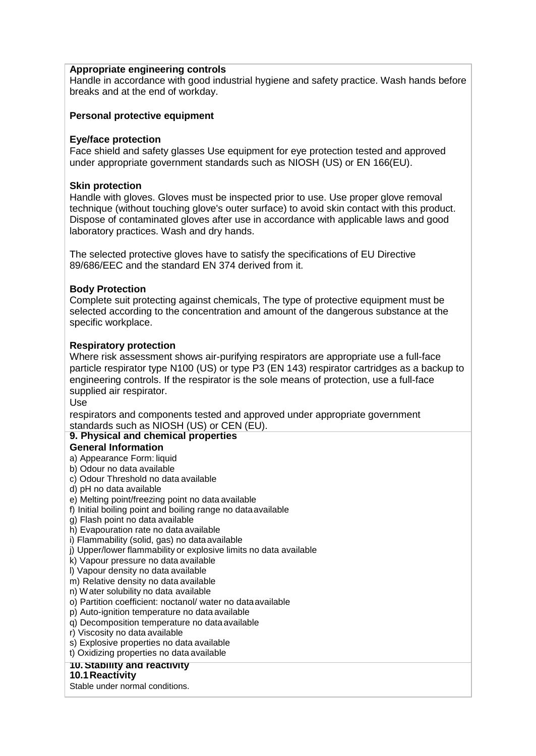## **Appropriate engineering controls**

Handle in accordance with good industrial hygiene and safety practice. Wash hands before breaks and at the end of workday.

### **Personal protective equipment**

## **Eye/face protection**

Face shield and safety glasses Use equipment for eye protection tested and approved under appropriate government standards such as NIOSH (US) or EN 166(EU).

#### **Skin protection**

Handle with gloves. Gloves must be inspected prior to use. Use proper glove removal technique (without touching glove's outer surface) to avoid skin contact with this product. Dispose of contaminated gloves after use in accordance with applicable laws and good laboratory practices. Wash and dry hands.

The selected protective gloves have to satisfy the specifications of EU Directive 89/686/EEC and the standard EN 374 derived from it.

### **Body Protection**

Complete suit protecting against chemicals, The type of protective equipment must be selected according to the concentration and amount of the dangerous substance at the specific workplace.

### **Respiratory protection**

Where risk assessment shows air-purifying respirators are appropriate use a full-face particle respirator type N100 (US) or type P3 (EN 143) respirator cartridges as a backup to engineering controls. If the respirator is the sole means of protection, use a full-face supplied air respirator.

Use

respirators and components tested and approved under appropriate government standards such as NIOSH (US) or CEN (EU).

## **9. Physical and chemical properties**

## **General Information**

a) Appearance Form: liquid

b) Odour no data available

- c) Odour Threshold no data available
- d) pH no data available
- e) Melting point/freezing point no data available
- f) Initial boiling point and boiling range no dataavailable
- g) Flash point no data available
- h) Evapouration rate no data available
- i) Flammability (solid, gas) no data available
- j) Upper/lower flammability or explosive limits no data available
- k) Vapour pressure no data available
- l) Vapour density no data available
- m) Relative density no data available
- n) Water solubility no data available
- o) Partition coefficient: noctanol/ water no dataavailable
- p) Auto-ignition temperature no data available
- q) Decomposition temperature no dataavailable
- r) Viscosity no data available
- s) Explosive properties no data available
- t) Oxidizing properties no data available

#### **10.Stability and reactivity**

#### **10.1Reactivity**

Stable under normal conditions.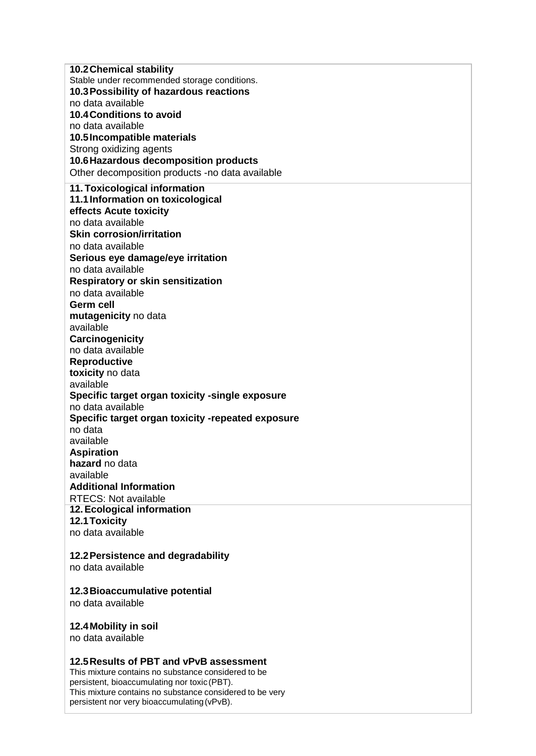**10.2Chemical stability** Stable under recommended storage conditions. **10.3Possibility of hazardous reactions** no data available **10.4Conditions to avoid** no data available **10.5Incompatible materials** Strong oxidizing agents **10.6Hazardous decomposition products** Other decomposition products -no data available **11.Toxicological information 11.1Information on toxicological effects Acute toxicity** no data available **Skin corrosion/irritation** no data available **Serious eye damage/eye irritation** no data available **Respiratory or skin sensitization** no data available **Germ cell mutagenicity** no data available **Carcinogenicity** no data available **Reproductive toxicity** no data available **Specific target organ toxicity -single exposure** no data available **Specific target organ toxicity -repeated exposure** no data available **Aspiration hazard** no data available **Additional Information** RTECS: Not available **12.Ecological information 12.1Toxicity** no data available

## **12.2Persistence and degradability**

no data available

#### **12.3Bioaccumulative potential**

no data available

#### **12.4Mobility in soil**

no data available

#### **12.5Results of PBT and vPvB assessment**

This mixture contains no substance considered to be persistent, bioaccumulating nor toxic (PBT). This mixture contains no substance considered to be very persistent nor very bioaccumulating(vPvB).